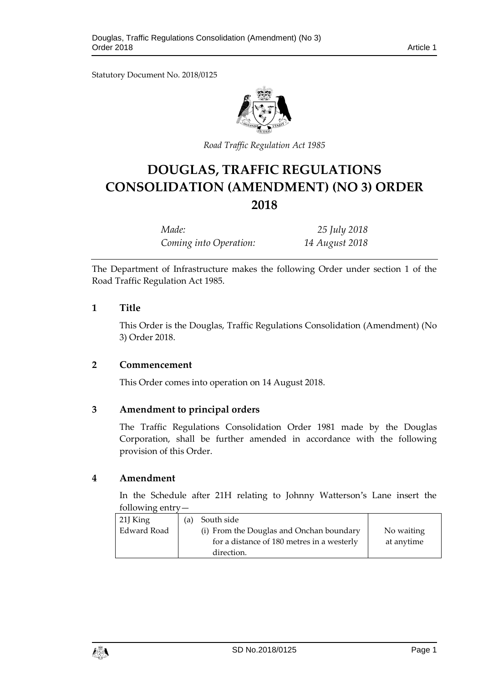Statutory Document No. 2018/0125



*Road Traffic Regulation Act 1985*

# **DOUGLAS, TRAFFIC REGULATIONS CONSOLIDATION (AMENDMENT) (NO 3) ORDER 2018**

*Made: 25 July 2018 Coming into Operation: 14 August 2018*

The Department of Infrastructure makes the following Order under section 1 of the Road Traffic Regulation Act 1985.

# **1 Title**

This Order is the Douglas, Traffic Regulations Consolidation (Amendment) (No 3) Order 2018.

# **2 Commencement**

This Order comes into operation on 14 August 2018.

# **3 Amendment to principal orders**

The Traffic Regulations Consolidation Order 1981 made by the Douglas Corporation, shall be further amended in accordance with the following provision of this Order.

#### **4 Amendment**

In the Schedule after 21H relating to Johnny Watterson's Lane insert the following entry—

| $21J$ King  | (a) | South side                                 |            |
|-------------|-----|--------------------------------------------|------------|
| Edward Road |     | (i) From the Douglas and Onchan boundary   | No waiting |
|             |     | for a distance of 180 metres in a westerly | at anytime |
|             |     | direction.                                 |            |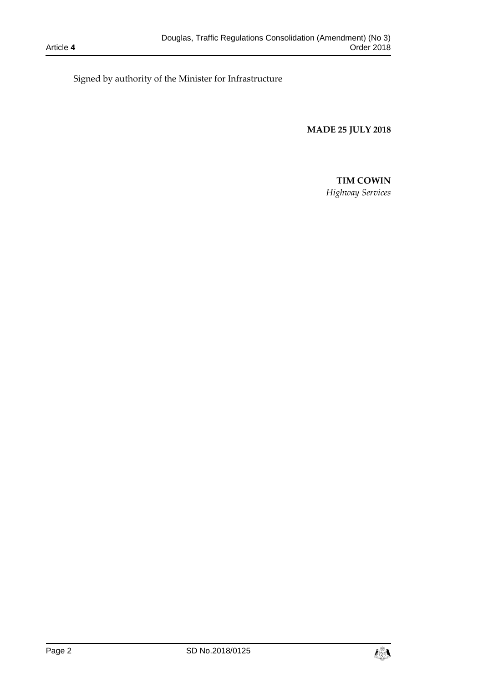Signed by authority of the Minister for Infrastructure

**MADE 25 JULY 2018**

# **TIM COWIN**

*Highway Services*